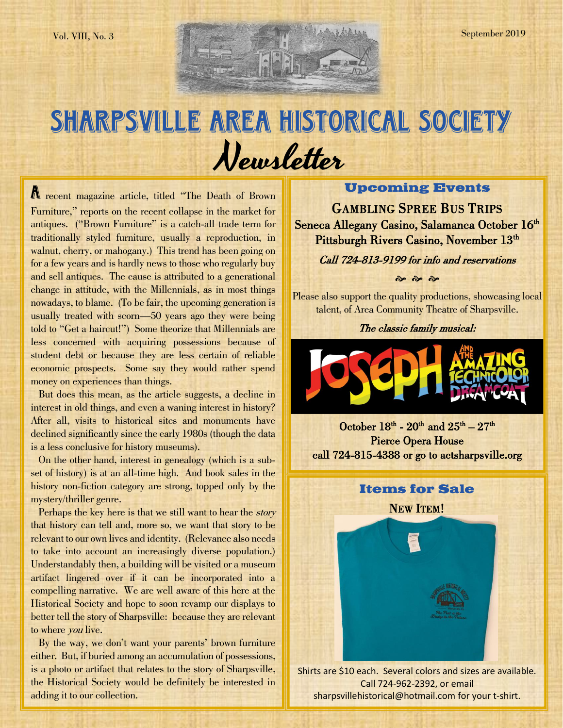# SHARPSVILLE AREA HISTORICAL SOCIETY Newsletter

A recent magazine article, titled "The Death of Brown Furniture," reports on the recent collapse in the market for antiques. ("Brown Furniture" is a catch-all trade term for traditionally styled furniture, usually a reproduction, in walnut, cherry, or mahogany.) This trend has been going on for a few years and is hardly news to those who regularly buy and sell antiques. The cause is attributed to a generational change in attitude, with the Millennials, as in most things nowadays, to blame. (To be fair, the upcoming generation is usually treated with scorn—50 years ago they were being told to "Get a haircut!") Some theorize that Millennials are less concerned with acquiring possessions because of student debt or because they are less certain of reliable economic prospects. Some say they would rather spend money on experiences than things.

 But does this mean, as the article suggests, a decline in interest in old things, and even a waning interest in history? After all, visits to historical sites and monuments have declined significantly since the early 1980s (though the data is a less conclusive for history museums).

 On the other hand, interest in genealogy (which is a subset of history) is at an all-time high. And book sales in the history non-fiction category are strong, topped only by the mystery/thriller genre.

Perhaps the key here is that we still want to hear the *story* that history can tell and, more so, we want that story to be relevant to our own lives and identity. (Relevance also needs to take into account an increasingly diverse population.) Understandably then, a building will be visited or a museum artifact lingered over if it can be incorporated into a compelling narrative. We are well aware of this here at the Historical Society and hope to soon revamp our displays to better tell the story of Sharpsville: because they are relevant to where you live.

 By the way, we don't want your parents' brown furniture either. But, if buried among an accumulation of possessions, is a photo or artifact that relates to the story of Sharpsville, the Historical Society would be definitely be interested in adding it to our collection.

# **Upcoming Events**

GAMBLING SPREE BUS TRIPS Seneca Allegany Casino, Salamanca October 16<sup>th</sup> Pittsburgh Rivers Casino, November 13<sup>th</sup>

Call 724-813-9199 for info and reservations

 $\frac{1}{3}$   $\frac{1}{3}$   $\frac{1}{3}$ 

Please also support the quality productions, showcasing local talent, of Area Community Theatre of Sharpsville.

The classic family musical:



October  $18^{\text{th}}$  -  $20^{\text{th}}$  and  $25^{\text{th}} - 27^{\text{th}}$ Pierce Opera House call 724-815-4388 or go to actsharpsville.org



Shirts are \$10 each. Several colors and sizes are available. Call 724-962-2392, or email sharpsvillehistorical@hotmail.com for your t-shirt.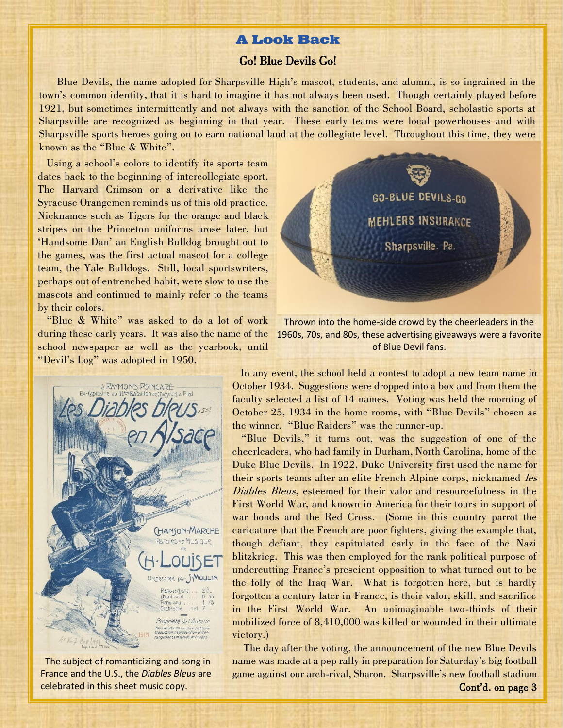### **A Look Back**

#### Go! Blue Devils Go!

 Blue Devils, the name adopted for Sharpsville High's mascot, students, and alumni, is so ingrained in the town's common identity, that it is hard to imagine it has not always been used. Though certainly played before 1921, but sometimes intermittently and not always with the sanction of the School Board, scholastic sports at Sharpsville are recognized as beginning in that year. These early teams were local powerhouses and with Sharpsville sports heroes going on to earn national laud at the collegiate level. Throughout this time, they were known as the "Blue & White".

 Using a school's colors to identify its sports team dates back to the beginning of intercollegiate sport. The Harvard Crimson or a derivative like the Syracuse Orangemen reminds us of this old practice. Nicknames such as Tigers for the orange and black stripes on the Princeton uniforms arose later, but 'Handsome Dan' an English Bulldog brought out to the games, was the first actual mascot for a college team, the Yale Bulldogs. Still, local sportswriters, perhaps out of entrenched habit, were slow to use the mascots and continued to mainly refer to the teams by their colors.

 "Blue & White" was asked to do a lot of work during these early years. It was also the name of the school newspaper as well as the yearbook, until "Devil's Log" was adopted in 1950.



 The subject of romanticizing and song in France and the U.S., the *Diables Bleus* are celebrated in this sheet music copy.



Thrown into the home-side crowd by the cheerleaders in the 1960s, 70s, and 80s, these advertising giveaways were a favorite of Blue Devil fans.

 In any event, the school held a contest to adopt a new team name in October 1934. Suggestions were dropped into a box and from them the faculty selected a list of 14 names. Voting was held the morning of October 25, 1934 in the home rooms, with "Blue Devils" chosen as the winner. "Blue Raiders" was the runner-up.

 "Blue Devils," it turns out, was the suggestion of one of the cheerleaders, who had family in Durham, North Carolina, home of the Duke Blue Devils. In 1922, Duke University first used the name for their sports teams after an elite French Alpine corps, nicknamed les Diables Bleus, esteemed for their valor and resourcefulness in the First World War, and known in America for their tours in support of war bonds and the Red Cross. (Some in this country parrot the caricature that the French are poor fighters, giving the example that, though defiant, they capitulated early in the face of the Nazi blitzkrieg. This was then employed for the rank political purpose of undercutting France's prescient opposition to what turned out to be the folly of the Iraq War. What is forgotten here, but is hardly forgotten a century later in France, is their valor, skill, and sacrifice in the First World War. An unimaginable two-thirds of their mobilized force of 8,410,000 was killed or wounded in their ultimate victory.)

 The day after the voting, the announcement of the new Blue Devils name was made at a pep rally in preparation for Saturday's big football game against our arch-rival, Sharon. Sharpsville's new football stadium Cont'd. on page 3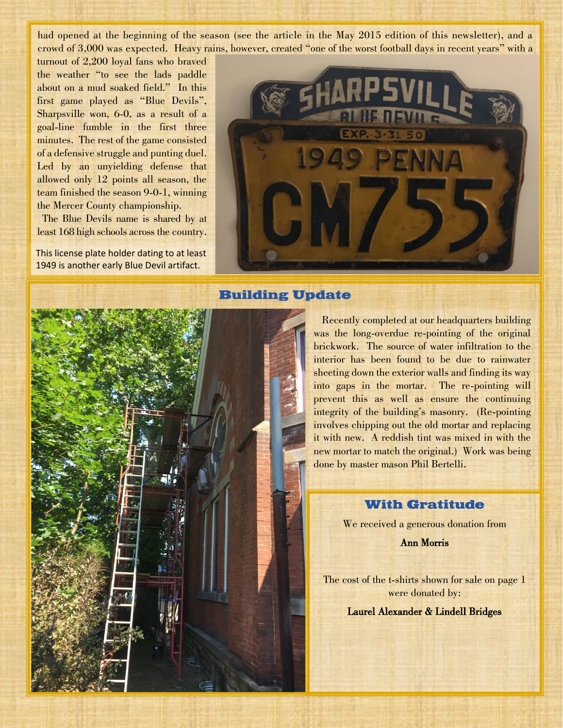had opened at the beginning of the season (see the article in the May 2015 edition of this newsletter), and a crowd of 3,000 was expected. Heavy rains, however, created "one of the worst football days in recent years" with a

turnout of 2,200 loyal fans who braved the weather "to see the lads paddle about on a mud soaked field." In this first game played as "Blue Devils", Sharpsville won, 6-0, as a result of a goal-line fumble in the first three minutes. The rest of the game consisted of a defensive struggle and punting duel. Led by an unyielding defense that allowed only 12 points all season, the team finished the season 9-0-1, winning the Mercer County championship.

 The Blue Devils name is shared by at least 168 high schools across the country.

This license plate holder dating to at least 1949 is another early Blue Devil artifact.



## **Building Update**

 Recently completed at our headquarters building was the long-overdue re-pointing of the original brickwork. The source of water infiltration to the interior has been found to be due to rainwater sheeting down the exterior walls and finding its way into gaps in the mortar. The re-pointing will prevent this as well as ensure the continuing integrity of the building's masonry. (Re-pointing involves chipping out the old mortar and replacing it with new. A reddish tint was mixed in with the new mortar to match the original.) Work was being done by master mason Phil Bertelli.

# **With Gratitude**

We received a generous donation from

Ann Morris

The cost of the t-shirts shown for sale on page 1 were donated by:

#### Laurel Alexander & Lindell Bridges